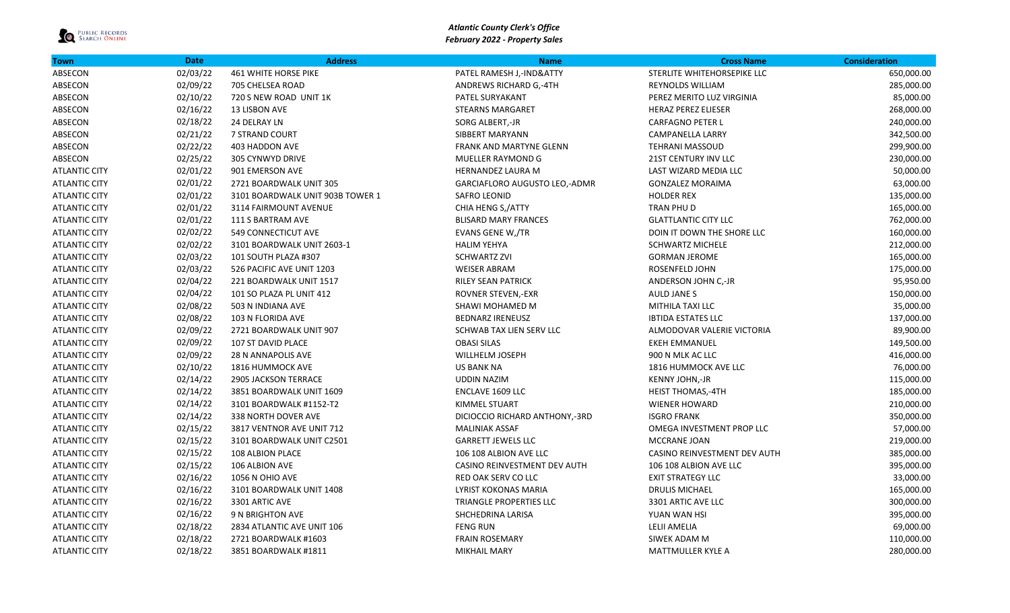

| <b>Town</b>          | <b>Date</b> | <b>Address</b>                   | <b>Name</b>                    | <b>Cross Name</b>            | <b>Consideration</b> |
|----------------------|-------------|----------------------------------|--------------------------------|------------------------------|----------------------|
| ABSECON              | 02/03/22    | <b>461 WHITE HORSE PIKE</b>      | PATEL RAMESH J,-IND&ATTY       | STERLITE WHITEHORSEPIKE LLC  | 650,000.00           |
| ABSECON              | 02/09/22    | 705 CHELSEA ROAD                 | ANDREWS RICHARD G,-4TH         | REYNOLDS WILLIAM             | 285,000.00           |
| ABSECON              | 02/10/22    | 720 S NEW ROAD UNIT 1K           | PATEL SURYAKANT                | PEREZ MERITO LUZ VIRGINIA    | 85,000.00            |
| ABSECON              | 02/16/22    | 13 LISBON AVE                    | <b>STEARNS MARGARET</b>        | <b>HERAZ PEREZ ELIESER</b>   | 268,000.00           |
| ABSECON              | 02/18/22    | 24 DELRAY LN                     | SORG ALBERT,-JR                | <b>CARFAGNO PETER L</b>      | 240,000.00           |
| ABSECON              | 02/21/22    | 7 STRAND COURT                   | SIBBERT MARYANN                | CAMPANELLA LARRY             | 342,500.00           |
| ABSECON              | 02/22/22    | 403 HADDON AVE                   | FRANK AND MARTYNE GLENN        | <b>TEHRANI MASSOUD</b>       | 299,900.00           |
| ABSECON              | 02/25/22    | 305 CYNWYD DRIVE                 | MUELLER RAYMOND G              | 21ST CENTURY INV LLC         | 230,000.00           |
| <b>ATLANTIC CITY</b> | 02/01/22    | 901 EMERSON AVE                  | HERNANDEZ LAURA M              | LAST WIZARD MEDIA LLC        | 50,000.00            |
| <b>ATLANTIC CITY</b> | 02/01/22    | 2721 BOARDWALK UNIT 305          | GARCIAFLORO AUGUSTO LEO,-ADMR  | <b>GONZALEZ MORAIMA</b>      | 63,000.00            |
| <b>ATLANTIC CITY</b> | 02/01/22    | 3101 BOARDWALK UNIT 903B TOWER 1 | <b>SAFRO LEONID</b>            | <b>HOLDER REX</b>            | 135,000.00           |
| <b>ATLANTIC CITY</b> | 02/01/22    | 3114 FAIRMOUNT AVENUE            | CHIA HENG S,/ATTY              | TRAN PHU D                   | 165,000.00           |
| <b>ATLANTIC CITY</b> | 02/01/22    | 111 S BARTRAM AVE                | <b>BLISARD MARY FRANCES</b>    | <b>GLATTLANTIC CITY LLC</b>  | 762,000.00           |
| <b>ATLANTIC CITY</b> | 02/02/22    | 549 CONNECTICUT AVE              | EVANS GENE W,/TR               | DOIN IT DOWN THE SHORE LLC   | 160,000.00           |
| <b>ATLANTIC CITY</b> | 02/02/22    | 3101 BOARDWALK UNIT 2603-1       | <b>HALIM YEHYA</b>             | <b>SCHWARTZ MICHELE</b>      | 212,000.00           |
| <b>ATLANTIC CITY</b> | 02/03/22    | 101 SOUTH PLAZA #307             | <b>SCHWARTZ ZVI</b>            | <b>GORMAN JEROME</b>         | 165,000.00           |
| <b>ATLANTIC CITY</b> | 02/03/22    | 526 PACIFIC AVE UNIT 1203        | <b>WEISER ABRAM</b>            | ROSENFELD JOHN               | 175,000.00           |
| <b>ATLANTIC CITY</b> | 02/04/22    | 221 BOARDWALK UNIT 1517          | <b>RILEY SEAN PATRICK</b>      | ANDERSON JOHN C,-JR          | 95,950.00            |
| <b>ATLANTIC CITY</b> | 02/04/22    | 101 SO PLAZA PL UNIT 412         | <b>ROVNER STEVEN,-EXR</b>      | <b>AULD JANES</b>            | 150,000.00           |
| <b>ATLANTIC CITY</b> | 02/08/22    | 503 N INDIANA AVE                | SHAWI MOHAMED M                | MITHILA TAXI LLC             | 35,000.00            |
| <b>ATLANTIC CITY</b> | 02/08/22    | 103 N FLORIDA AVE                | <b>BEDNARZ IRENEUSZ</b>        | <b>IBTIDA ESTATES LLC</b>    | 137,000.00           |
| <b>ATLANTIC CITY</b> | 02/09/22    | 2721 BOARDWALK UNIT 907          | SCHWAB TAX LIEN SERV LLC       | ALMODOVAR VALERIE VICTORIA   | 89,900.00            |
| <b>ATLANTIC CITY</b> | 02/09/22    | 107 ST DAVID PLACE               | <b>OBASI SILAS</b>             | <b>EKEH EMMANUEL</b>         | 149,500.00           |
| <b>ATLANTIC CITY</b> | 02/09/22    | 28 N ANNAPOLIS AVE               | WILLHELM JOSEPH                | 900 N MLK AC LLC             | 416,000.00           |
| <b>ATLANTIC CITY</b> | 02/10/22    | 1816 HUMMOCK AVE                 | <b>US BANK NA</b>              | 1816 HUMMOCK AVE LLC         | 76,000.00            |
| <b>ATLANTIC CITY</b> | 02/14/22    | <b>2905 JACKSON TERRACE</b>      | <b>UDDIN NAZIM</b>             | KENNY JOHN,-JR               | 115,000.00           |
| <b>ATLANTIC CITY</b> | 02/14/22    | 3851 BOARDWALK UNIT 1609         | <b>ENCLAVE 1609 LLC</b>        | <b>HEIST THOMAS,-4TH</b>     | 185,000.00           |
| <b>ATLANTIC CITY</b> | 02/14/22    | 3101 BOARDWALK #1152-T2          | KIMMEL STUART                  | <b>WIENER HOWARD</b>         | 210,000.00           |
| <b>ATLANTIC CITY</b> | 02/14/22    | 338 NORTH DOVER AVE              | DICIOCCIO RICHARD ANTHONY,-3RD | <b>ISGRO FRANK</b>           | 350,000.00           |
| <b>ATLANTIC CITY</b> | 02/15/22    | 3817 VENTNOR AVE UNIT 712        | <b>MALINIAK ASSAF</b>          | OMEGA INVESTMENT PROP LLC    | 57,000.00            |
| <b>ATLANTIC CITY</b> | 02/15/22    | 3101 BOARDWALK UNIT C2501        | <b>GARRETT JEWELS LLC</b>      | MCCRANE JOAN                 | 219,000.00           |
| <b>ATLANTIC CITY</b> | 02/15/22    | 108 ALBION PLACE                 | 106 108 ALBION AVE LLC         | CASINO REINVESTMENT DEV AUTH | 385,000.00           |
| <b>ATLANTIC CITY</b> | 02/15/22    | 106 ALBION AVE                   | CASINO REINVESTMENT DEV AUTH   | 106 108 ALBION AVE LLC       | 395,000.00           |
| <b>ATLANTIC CITY</b> | 02/16/22    | 1056 N OHIO AVE                  | RED OAK SERV CO LLC            | <b>EXIT STRATEGY LLC</b>     | 33,000.00            |
| <b>ATLANTIC CITY</b> | 02/16/22    | 3101 BOARDWALK UNIT 1408         | <b>LYRIST KOKONAS MARIA</b>    | <b>DRULIS MICHAEL</b>        | 165,000.00           |
| <b>ATLANTIC CITY</b> | 02/16/22    | 3301 ARTIC AVE                   | TRIANGLE PROPERTIES LLC        | 3301 ARTIC AVE LLC           | 300,000.00           |
| <b>ATLANTIC CITY</b> | 02/16/22    | 9 N BRIGHTON AVE                 | SHCHEDRINA LARISA              | YUAN WAN HSI                 | 395,000.00           |
| <b>ATLANTIC CITY</b> | 02/18/22    | 2834 ATLANTIC AVE UNIT 106       | <b>FENG RUN</b>                | <b>LELII AMELIA</b>          | 69,000.00            |
| <b>ATLANTIC CITY</b> | 02/18/22    | 2721 BOARDWALK #1603             | <b>FRAIN ROSEMARY</b>          | SIWEK ADAM M                 | 110,000.00           |
| <b>ATLANTIC CITY</b> | 02/18/22    | 3851 BOARDWALK #1811             | <b>MIKHAIL MARY</b>            | <b>MATTMULLER KYLE A</b>     | 280,000.00           |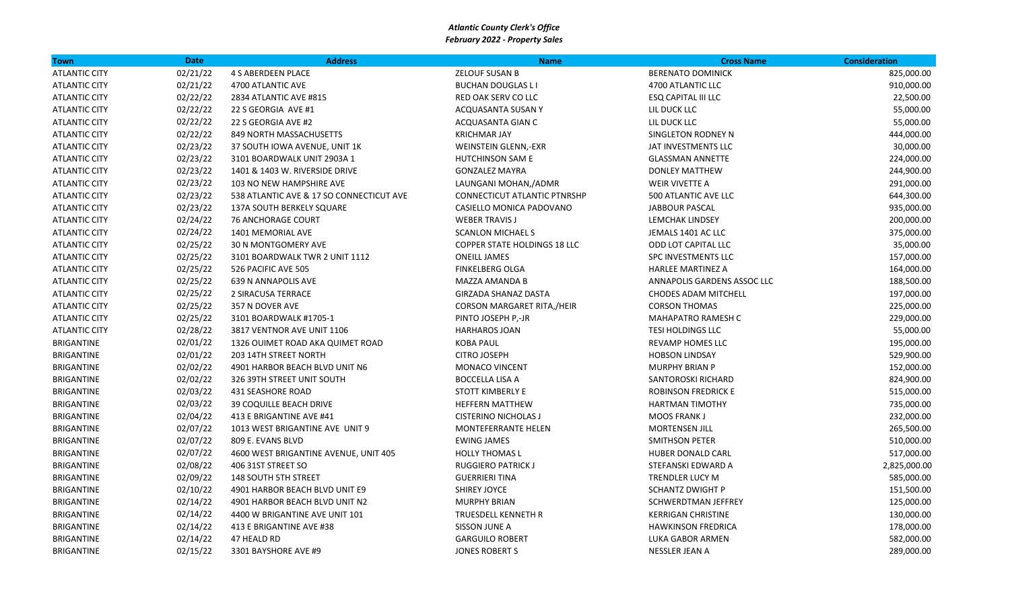| <b>Town</b>          | <b>Date</b> | <b>Address</b>                           | <b>Name</b>                         | <b>Cross Name</b>           | <b>Consideration</b> |
|----------------------|-------------|------------------------------------------|-------------------------------------|-----------------------------|----------------------|
| <b>ATLANTIC CITY</b> | 02/21/22    | 4 S ABERDEEN PLACE                       | <b>ZELOUF SUSAN B</b>               | <b>BERENATO DOMINICK</b>    | 825,000.00           |
| <b>ATLANTIC CITY</b> | 02/21/22    | 4700 ATLANTIC AVE                        | <b>BUCHAN DOUGLAS L I</b>           | 4700 ATLANTIC LLC           | 910,000.00           |
| <b>ATLANTIC CITY</b> | 02/22/22    | 2834 ATLANTIC AVE #815                   | RED OAK SERV CO LLC                 | <b>ESQ CAPITAL III LLC</b>  | 22,500.00            |
| <b>ATLANTIC CITY</b> | 02/22/22    | 22 S GEORGIA AVE #1                      | ACQUASANTA SUSAN Y                  | LIL DUCK LLC                | 55,000.00            |
| <b>ATLANTIC CITY</b> | 02/22/22    | 22 S GEORGIA AVE #2                      | ACQUASANTA GIAN C                   | LIL DUCK LLC                | 55,000.00            |
| <b>ATLANTIC CITY</b> | 02/22/22    | 849 NORTH MASSACHUSETTS                  | <b>KRICHMAR JAY</b>                 | SINGLETON RODNEY N          | 444,000.00           |
| <b>ATLANTIC CITY</b> | 02/23/22    | 37 SOUTH IOWA AVENUE, UNIT 1K            | <b>WEINSTEIN GLENN,-EXR</b>         | JAT INVESTMENTS LLC         | 30,000.00            |
| <b>ATLANTIC CITY</b> | 02/23/22    | 3101 BOARDWALK UNIT 2903A 1              | <b>HUTCHINSON SAM E</b>             | <b>GLASSMAN ANNETTE</b>     | 224,000.00           |
| <b>ATLANTIC CITY</b> | 02/23/22    | 1401 & 1403 W. RIVERSIDE DRIVE           | <b>GONZALEZ MAYRA</b>               | <b>DONLEY MATTHEW</b>       | 244,900.00           |
| <b>ATLANTIC CITY</b> | 02/23/22    | 103 NO NEW HAMPSHIRE AVE                 | LAUNGANI MOHAN,/ADMR                | <b>WEIR VIVETTE A</b>       | 291,000.00           |
| <b>ATLANTIC CITY</b> | 02/23/22    | 538 ATLANTIC AVE & 17 SO CONNECTICUT AVE | CONNECTICUT ATLANTIC PTNRSHP        | 500 ATLANTIC AVE LLC        | 644,300.00           |
| <b>ATLANTIC CITY</b> | 02/23/22    | 137A SOUTH BERKELY SQUARE                | CASIELLO MONICA PADOVANO            | <b>JABBOUR PASCAL</b>       | 935,000.00           |
| <b>ATLANTIC CITY</b> | 02/24/22    | <b>76 ANCHORAGE COURT</b>                | <b>WEBER TRAVIS J</b>               | LEMCHAK LINDSEY             | 200,000.00           |
| <b>ATLANTIC CITY</b> | 02/24/22    | 1401 MEMORIAL AVE                        | <b>SCANLON MICHAEL S</b>            | JEMALS 1401 AC LLC          | 375,000.00           |
| <b>ATLANTIC CITY</b> | 02/25/22    | <b>30 N MONTGOMERY AVE</b>               | <b>COPPER STATE HOLDINGS 18 LLC</b> | ODD LOT CAPITAL LLC         | 35,000.00            |
| <b>ATLANTIC CITY</b> | 02/25/22    | 3101 BOARDWALK TWR 2 UNIT 1112           | <b>ONEILL JAMES</b>                 | SPC INVESTMENTS LLC         | 157,000.00           |
| <b>ATLANTIC CITY</b> | 02/25/22    | 526 PACIFIC AVE 505                      | <b>FINKELBERG OLGA</b>              | <b>HARLEE MARTINEZ A</b>    | 164,000.00           |
| <b>ATLANTIC CITY</b> | 02/25/22    | 639 N ANNAPOLIS AVE                      | MAZZA AMANDA B                      | ANNAPOLIS GARDENS ASSOC LLC | 188,500.00           |
| <b>ATLANTIC CITY</b> | 02/25/22    | 2 SIRACUSA TERRACE                       | GIRZADA SHANAZ DASTA                | <b>CHODES ADAM MITCHELL</b> | 197,000.00           |
| <b>ATLANTIC CITY</b> | 02/25/22    | 357 N DOVER AVE                          | CORSON MARGARET RITA,/HEIR          | <b>CORSON THOMAS</b>        | 225,000.00           |
| <b>ATLANTIC CITY</b> | 02/25/22    | 3101 BOARDWALK #1705-1                   | PINTO JOSEPH P,-JR                  | <b>MAHAPATRO RAMESH C</b>   | 229,000.00           |
| <b>ATLANTIC CITY</b> | 02/28/22    | 3817 VENTNOR AVE UNIT 1106               | <b>HARHAROS JOAN</b>                | <b>TESI HOLDINGS LLC</b>    | 55,000.00            |
| <b>BRIGANTINE</b>    | 02/01/22    | 1326 OUIMET ROAD AKA QUIMET ROAD         | <b>KOBA PAUL</b>                    | REVAMP HOMES LLC            | 195,000.00           |
| <b>BRIGANTINE</b>    | 02/01/22    | 203 14TH STREET NORTH                    | <b>CITRO JOSEPH</b>                 | <b>HOBSON LINDSAY</b>       | 529,900.00           |
| BRIGANTINE           | 02/02/22    | 4901 HARBOR BEACH BLVD UNIT N6           | MONACO VINCENT                      | <b>MURPHY BRIAN P</b>       | 152,000.00           |
| <b>BRIGANTINE</b>    | 02/02/22    | 326 39TH STREET UNIT SOUTH               | <b>BOCCELLA LISA A</b>              | SANTOROSKI RICHARD          | 824,900.00           |
| <b>BRIGANTINE</b>    | 02/03/22    | <b>431 SEASHORE ROAD</b>                 | <b>STOTT KIMBERLY E</b>             | ROBINSON FREDRICK E         | 515,000.00           |
| BRIGANTINE           | 02/03/22    | <b>39 COQUILLE BEACH DRIVE</b>           | <b>HEFFERN MATTHEW</b>              | <b>HARTMAN TIMOTHY</b>      | 735,000.00           |
| <b>BRIGANTINE</b>    | 02/04/22    | 413 E BRIGANTINE AVE #41                 | <b>CISTERINO NICHOLAS J</b>         | <b>MOOS FRANK J</b>         | 232,000.00           |
| <b>BRIGANTINE</b>    | 02/07/22    | 1013 WEST BRIGANTINE AVE UNIT 9          | <b>MONTEFERRANTE HELEN</b>          | <b>MORTENSEN JILL</b>       | 265,500.00           |
| <b>BRIGANTINE</b>    | 02/07/22    | 809 E. EVANS BLVD                        | <b>EWING JAMES</b>                  | <b>SMITHSON PETER</b>       | 510,000.00           |
| <b>BRIGANTINE</b>    | 02/07/22    | 4600 WEST BRIGANTINE AVENUE, UNIT 405    | <b>HOLLY THOMAS L</b>               | HUBER DONALD CARL           | 517,000.00           |
| <b>BRIGANTINE</b>    | 02/08/22    | 406 31ST STREET SO                       | <b>RUGGIERO PATRICK J</b>           | STEFANSKI EDWARD A          | 2,825,000.00         |
| BRIGANTINE           | 02/09/22    | <b>148 SOUTH 5TH STREET</b>              | <b>GUERRIERI TINA</b>               | TRENDLER LUCY M             | 585,000.00           |
| <b>BRIGANTINE</b>    | 02/10/22    | 4901 HARBOR BEACH BLVD UNIT E9           | <b>SHIREY JOYCE</b>                 | <b>SCHANTZ DWIGHT P</b>     | 151,500.00           |
| <b>BRIGANTINE</b>    | 02/14/22    | 4901 HARBOR BEACH BLVD UNIT N2           | <b>MURPHY BRIAN</b>                 | SCHWERDTMAN JEFFREY         | 125,000.00           |
| <b>BRIGANTINE</b>    | 02/14/22    | 4400 W BRIGANTINE AVE UNIT 101           | TRUESDELL KENNETH R                 | <b>KERRIGAN CHRISTINE</b>   | 130,000.00           |
| <b>BRIGANTINE</b>    | 02/14/22    | 413 E BRIGANTINE AVE #38                 | SISSON JUNE A                       | <b>HAWKINSON FREDRICA</b>   | 178,000.00           |
| <b>BRIGANTINE</b>    | 02/14/22    | 47 HEALD RD                              | <b>GARGUILO ROBERT</b>              | LUKA GABOR ARMEN            | 582,000.00           |
| <b>BRIGANTINE</b>    | 02/15/22    | 3301 BAYSHORE AVE #9                     | <b>JONES ROBERT S</b>               | <b>NESSLER JEAN A</b>       | 289,000.00           |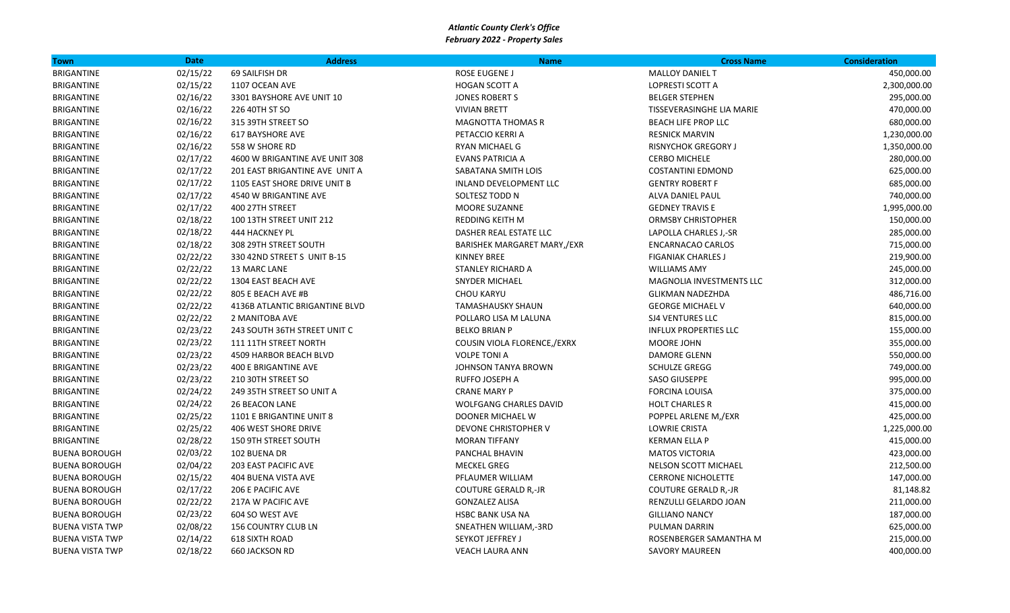| <b>Town</b>            | <b>Date</b> | <b>Address</b>                 | <b>Name</b>                   | <b>Cross Name</b>            | <b>Consideration</b> |
|------------------------|-------------|--------------------------------|-------------------------------|------------------------------|----------------------|
| <b>BRIGANTINE</b>      | 02/15/22    | 69 SAILFISH DR                 | ROSE EUGENE J                 | <b>MALLOY DANIEL T</b>       | 450,000.00           |
| <b>BRIGANTINE</b>      | 02/15/22    | 1107 OCEAN AVE                 | <b>HOGAN SCOTT A</b>          | LOPRESTI SCOTT A             | 2,300,000.00         |
| <b>BRIGANTINE</b>      | 02/16/22    | 3301 BAYSHORE AVE UNIT 10      | <b>JONES ROBERT S</b>         | <b>BELGER STEPHEN</b>        | 295,000.00           |
| <b>BRIGANTINE</b>      | 02/16/22    | 226 40TH ST SO                 | <b>VIVIAN BRETT</b>           | TISSEVERASINGHE LIA MARIE    | 470,000.00           |
| <b>BRIGANTINE</b>      | 02/16/22    | 315 39TH STREET SO             | <b>MAGNOTTA THOMAS R</b>      | <b>BEACH LIFE PROP LLC</b>   | 680,000.00           |
| <b>BRIGANTINE</b>      | 02/16/22    | <b>617 BAYSHORE AVE</b>        | PETACCIO KERRI A              | <b>RESNICK MARVIN</b>        | 1,230,000.00         |
| <b>BRIGANTINE</b>      | 02/16/22    | 558 W SHORE RD                 | RYAN MICHAEL G                | <b>RISNYCHOK GREGORY J</b>   | 1,350,000.00         |
| <b>BRIGANTINE</b>      | 02/17/22    | 4600 W BRIGANTINE AVE UNIT 308 | <b>EVANS PATRICIA A</b>       | <b>CERBO MICHELE</b>         | 280,000.00           |
| <b>BRIGANTINE</b>      | 02/17/22    | 201 EAST BRIGANTINE AVE UNIT A | SABATANA SMITH LOIS           | <b>COSTANTINI EDMOND</b>     | 625,000.00           |
| <b>BRIGANTINE</b>      | 02/17/22    | 1105 EAST SHORE DRIVE UNIT B   | INLAND DEVELOPMENT LLC        | <b>GENTRY ROBERT F</b>       | 685,000.00           |
| <b>BRIGANTINE</b>      | 02/17/22    | 4540 W BRIGANTINE AVE          | SOLTESZ TODD N                | ALVA DANIEL PAUL             | 740,000.00           |
| <b>BRIGANTINE</b>      | 02/17/22    | 400 27TH STREET                | MOORE SUZANNE                 | <b>GEDNEY TRAVIS E</b>       | 1,995,000.00         |
| <b>BRIGANTINE</b>      | 02/18/22    | 100 13TH STREET UNIT 212       | REDDING KEITH M               | <b>ORMSBY CHRISTOPHER</b>    | 150,000.00           |
| <b>BRIGANTINE</b>      | 02/18/22    | 444 HACKNEY PL                 | DASHER REAL ESTATE LLC        | LAPOLLA CHARLES J,-SR        | 285,000.00           |
| <b>BRIGANTINE</b>      | 02/18/22    | 308 29TH STREET SOUTH          | BARISHEK MARGARET MARY,/EXR   | <b>ENCARNACAO CARLOS</b>     | 715,000.00           |
| <b>BRIGANTINE</b>      | 02/22/22    | 330 42ND STREET S UNIT B-15    | <b>KINNEY BREE</b>            | <b>FIGANIAK CHARLES J</b>    | 219,900.00           |
| <b>BRIGANTINE</b>      | 02/22/22    | 13 MARC LANE                   | STANLEY RICHARD A             | <b>WILLIAMS AMY</b>          | 245,000.00           |
| <b>BRIGANTINE</b>      | 02/22/22    | 1304 EAST BEACH AVE            | <b>SNYDER MICHAEL</b>         | MAGNOLIA INVESTMENTS LLC     | 312,000.00           |
| <b>BRIGANTINE</b>      | 02/22/22    | 805 E BEACH AVE #B             | <b>CHOU KARYU</b>             | <b>GLIKMAN NADEZHDA</b>      | 486,716.00           |
| <b>BRIGANTINE</b>      | 02/22/22    | 4136B ATLANTIC BRIGANTINE BLVD | <b>TAMASHAUSKY SHAUN</b>      | <b>GEORGE MICHAEL V</b>      | 640,000.00           |
| <b>BRIGANTINE</b>      | 02/22/22    | 2 MANITOBA AVE                 | POLLARO LISA M LALUNA         | <b>SJ4 VENTURES LLC</b>      | 815,000.00           |
| <b>BRIGANTINE</b>      | 02/23/22    | 243 SOUTH 36TH STREET UNIT C   | <b>BELKO BRIAN P</b>          | <b>INFLUX PROPERTIES LLC</b> | 155,000.00           |
| <b>BRIGANTINE</b>      | 02/23/22    | 111 11TH STREET NORTH          | COUSIN VIOLA FLORENCE,/EXRX   | MOORE JOHN                   | 355,000.00           |
| <b>BRIGANTINE</b>      | 02/23/22    | 4509 HARBOR BEACH BLVD         | <b>VOLPE TONI A</b>           | DAMORE GLENN                 | 550,000.00           |
| <b>BRIGANTINE</b>      | 02/23/22    | <b>400 E BRIGANTINE AVE</b>    | <b>JOHNSON TANYA BROWN</b>    | <b>SCHULZE GREGG</b>         | 749,000.00           |
| <b>BRIGANTINE</b>      | 02/23/22    | 210 30TH STREET SO             | <b>RUFFO JOSEPH A</b>         | <b>SASO GIUSEPPE</b>         | 995,000.00           |
| <b>BRIGANTINE</b>      | 02/24/22    | 249 35TH STREET SO UNIT A      | <b>CRANE MARY P</b>           | <b>FORCINA LOUISA</b>        | 375,000.00           |
| <b>BRIGANTINE</b>      | 02/24/22    | <b>26 BEACON LANE</b>          | <b>WOLFGANG CHARLES DAVID</b> | <b>HOLT CHARLES R</b>        | 415,000.00           |
| <b>BRIGANTINE</b>      | 02/25/22    | 1101 E BRIGANTINE UNIT 8       | DOONER MICHAEL W              | POPPEL ARLENE M,/EXR         | 425,000.00           |
| <b>BRIGANTINE</b>      | 02/25/22    | 406 WEST SHORE DRIVE           | DEVONE CHRISTOPHER V          | <b>LOWRIE CRISTA</b>         | 1,225,000.00         |
| <b>BRIGANTINE</b>      | 02/28/22    | 150 9TH STREET SOUTH           | <b>MORAN TIFFANY</b>          | <b>KERMAN ELLA P</b>         | 415,000.00           |
| <b>BUENA BOROUGH</b>   | 02/03/22    | 102 BUENA DR                   | PANCHAL BHAVIN                | <b>MATOS VICTORIA</b>        | 423,000.00           |
| <b>BUENA BOROUGH</b>   | 02/04/22    | <b>203 EAST PACIFIC AVE</b>    | <b>MECKEL GREG</b>            | NELSON SCOTT MICHAEL         | 212,500.00           |
| <b>BUENA BOROUGH</b>   | 02/15/22    | 404 BUENA VISTA AVE            | PFLAUMER WILLIAM              | <b>CERRONE NICHOLETTE</b>    | 147,000.00           |
| <b>BUENA BOROUGH</b>   | 02/17/22    | 206 E PACIFIC AVE              | <b>COUTURE GERALD R,-JR</b>   | <b>COUTURE GERALD R,-JR</b>  | 81,148.82            |
| <b>BUENA BOROUGH</b>   | 02/22/22    | 217A W PACIFIC AVE             | <b>GONZALEZ ALISA</b>         | RENZULLI GELARDO JOAN        | 211,000.00           |
| <b>BUENA BOROUGH</b>   | 02/23/22    | 604 SO WEST AVE                | HSBC BANK USA NA              | <b>GILLIANO NANCY</b>        | 187,000.00           |
| <b>BUENA VISTA TWP</b> | 02/08/22    | <b>156 COUNTRY CLUB LN</b>     | SNEATHEN WILLIAM,-3RD         | PULMAN DARRIN                | 625,000.00           |
| <b>BUENA VISTA TWP</b> | 02/14/22    | <b>618 SIXTH ROAD</b>          | SEYKOT JEFFREY J              | ROSENBERGER SAMANTHA M       | 215,000.00           |
| <b>BUENA VISTA TWP</b> | 02/18/22    | <b>660 JACKSON RD</b>          | <b>VEACH LAURA ANN</b>        | <b>SAVORY MAUREEN</b>        | 400,000.00           |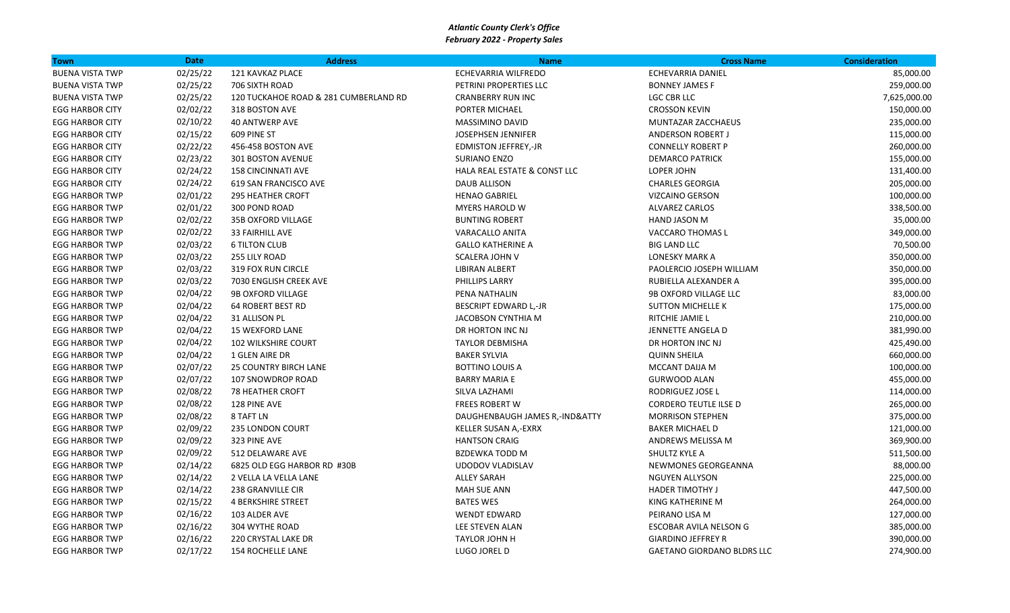| <b>Town</b>            | <b>Date</b> | <b>Address</b>                        | <b>Name</b>                    | <b>Cross Name</b>                 | <b>Consideration</b> |
|------------------------|-------------|---------------------------------------|--------------------------------|-----------------------------------|----------------------|
| <b>BUENA VISTA TWP</b> | 02/25/22    | 121 KAVKAZ PLACE                      | ECHEVARRIA WILFREDO            | <b>ECHEVARRIA DANIEL</b>          | 85,000.00            |
| <b>BUENA VISTA TWP</b> | 02/25/22    | 706 SIXTH ROAD                        | PETRINI PROPERTIES LLC         | <b>BONNEY JAMES F</b>             | 259,000.00           |
| <b>BUENA VISTA TWP</b> | 02/25/22    | 120 TUCKAHOE ROAD & 281 CUMBERLAND RD | <b>CRANBERRY RUN INC</b>       | <b>LGC CBR LLC</b>                | 7,625,000.00         |
| <b>EGG HARBOR CITY</b> | 02/02/22    | 318 BOSTON AVE                        | PORTER MICHAEL                 | <b>CROSSON KEVIN</b>              | 150,000.00           |
| <b>EGG HARBOR CITY</b> | 02/10/22    | <b>40 ANTWERP AVE</b>                 | <b>MASSIMINO DAVID</b>         | MUNTAZAR ZACCHAEUS                | 235,000.00           |
| <b>EGG HARBOR CITY</b> | 02/15/22    | 609 PINE ST                           | <b>JOSEPHSEN JENNIFER</b>      | <b>ANDERSON ROBERT J</b>          | 115,000.00           |
| <b>EGG HARBOR CITY</b> | 02/22/22    | 456-458 BOSTON AVE                    | <b>EDMISTON JEFFREY,-JR</b>    | <b>CONNELLY ROBERT P</b>          | 260,000.00           |
| <b>EGG HARBOR CITY</b> | 02/23/22    | 301 BOSTON AVENUE                     | <b>SURIANO ENZO</b>            | <b>DEMARCO PATRICK</b>            | 155,000.00           |
| <b>EGG HARBOR CITY</b> | 02/24/22    | <b>158 CINCINNATI AVE</b>             | HALA REAL ESTATE & CONST LLC   | LOPER JOHN                        | 131,400.00           |
| <b>EGG HARBOR CITY</b> | 02/24/22    | 619 SAN FRANCISCO AVE                 | DAUB ALLISON                   | <b>CHARLES GEORGIA</b>            | 205,000.00           |
| <b>EGG HARBOR TWP</b>  | 02/01/22    | <b>295 HEATHER CROFT</b>              | <b>HENAO GABRIEL</b>           | <b>VIZCAINO GERSON</b>            | 100,000.00           |
| <b>EGG HARBOR TWP</b>  | 02/01/22    | 300 POND ROAD                         | <b>MYERS HAROLD W</b>          | <b>ALVAREZ CARLOS</b>             | 338,500.00           |
| <b>EGG HARBOR TWP</b>  | 02/02/22    | 35B OXFORD VILLAGE                    | <b>BUNTING ROBERT</b>          | HAND JASON M                      | 35,000.00            |
| <b>EGG HARBOR TWP</b>  | 02/02/22    | <b>33 FAIRHILL AVE</b>                | VARACALLO ANITA                | <b>VACCARO THOMAS L</b>           | 349,000.00           |
| <b>EGG HARBOR TWP</b>  | 02/03/22    | <b>6 TILTON CLUB</b>                  | <b>GALLO KATHERINE A</b>       | <b>BIG LAND LLC</b>               | 70,500.00            |
| <b>EGG HARBOR TWP</b>  | 02/03/22    | 255 LILY ROAD                         | <b>SCALERA JOHN V</b>          | <b>LONESKY MARK A</b>             | 350,000.00           |
| <b>EGG HARBOR TWP</b>  | 02/03/22    | 319 FOX RUN CIRCLE                    | LIBIRAN ALBERT                 | PAOLERCIO JOSEPH WILLIAM          | 350,000.00           |
| <b>EGG HARBOR TWP</b>  | 02/03/22    | 7030 ENGLISH CREEK AVE                | PHILLIPS LARRY                 | RUBIELLA ALEXANDER A              | 395,000.00           |
| <b>EGG HARBOR TWP</b>  | 02/04/22    | <b>9B OXFORD VILLAGE</b>              | PENA NATHALIN                  | 9B OXFORD VILLAGE LLC             | 83,000.00            |
| <b>EGG HARBOR TWP</b>  | 02/04/22    | <b>64 ROBERT BEST RD</b>              | <b>BESCRIPT EDWARD L,-JR</b>   | <b>SUTTON MICHELLE K</b>          | 175,000.00           |
| <b>EGG HARBOR TWP</b>  | 02/04/22    | 31 ALLISON PL                         | JACOBSON CYNTHIA M             | RITCHIE JAMIE L                   | 210,000.00           |
| <b>EGG HARBOR TWP</b>  | 02/04/22    | <b>15 WEXFORD LANE</b>                | DR HORTON INC NJ               | JENNETTE ANGELA D                 | 381,990.00           |
| <b>EGG HARBOR TWP</b>  | 02/04/22    | <b>102 WILKSHIRE COURT</b>            | <b>TAYLOR DEBMISHA</b>         | DR HORTON INC NJ                  | 425,490.00           |
| <b>EGG HARBOR TWP</b>  | 02/04/22    | 1 GLEN AIRE DR                        | <b>BAKER SYLVIA</b>            | <b>QUINN SHEILA</b>               | 660,000.00           |
| <b>EGG HARBOR TWP</b>  | 02/07/22    | <b>25 COUNTRY BIRCH LANE</b>          | <b>BOTTINO LOUIS A</b>         | <b>MCCANT DAIJA M</b>             | 100,000.00           |
| <b>EGG HARBOR TWP</b>  | 02/07/22    | 107 SNOWDROP ROAD                     | <b>BARRY MARIA E</b>           | <b>GURWOOD ALAN</b>               | 455,000.00           |
| <b>EGG HARBOR TWP</b>  | 02/08/22    | <b>78 HEATHER CROFT</b>               | SILVA LAZHAMI                  | RODRIGUEZ JOSE L                  | 114,000.00           |
| <b>EGG HARBOR TWP</b>  | 02/08/22    | 128 PINE AVE                          | <b>FREES ROBERT W</b>          | <b>CORDERO TEUTLE ILSE D</b>      | 265,000.00           |
| <b>EGG HARBOR TWP</b>  | 02/08/22    | 8 TAFT LN                             | DAUGHENBAUGH JAMES R,-IND&ATTY | <b>MORRISON STEPHEN</b>           | 375,000.00           |
| <b>EGG HARBOR TWP</b>  | 02/09/22    | <b>235 LONDON COURT</b>               | KELLER SUSAN A,-EXRX           | <b>BAKER MICHAEL D</b>            | 121,000.00           |
| <b>EGG HARBOR TWP</b>  | 02/09/22    | 323 PINE AVE                          | <b>HANTSON CRAIG</b>           | ANDREWS MELISSA M                 | 369,900.00           |
| <b>EGG HARBOR TWP</b>  | 02/09/22    | 512 DELAWARE AVE                      | <b>BZDEWKA TODD M</b>          | SHULTZ KYLE A                     | 511,500.00           |
| <b>EGG HARBOR TWP</b>  | 02/14/22    | 6825 OLD EGG HARBOR RD #30B           | UDODOV VLADISLAV               | NEWMONES GEORGEANNA               | 88,000.00            |
| <b>EGG HARBOR TWP</b>  | 02/14/22    | 2 VELLA LA VELLA LANE                 | <b>ALLEY SARAH</b>             | <b>NGUYEN ALLYSON</b>             | 225,000.00           |
| <b>EGG HARBOR TWP</b>  | 02/14/22    | 238 GRANVILLE CIR                     | <b>MAH SUE ANN</b>             | <b>HADER TIMOTHY J</b>            | 447,500.00           |
| <b>EGG HARBOR TWP</b>  | 02/15/22    | <b>4 BERKSHIRE STREET</b>             | <b>BATES WES</b>               | KING KATHERINE M                  | 264,000.00           |
| <b>EGG HARBOR TWP</b>  | 02/16/22    | 103 ALDER AVE                         | <b>WENDT EDWARD</b>            | PEIRANO LISA M                    | 127,000.00           |
| <b>EGG HARBOR TWP</b>  | 02/16/22    | 304 WYTHE ROAD                        | LEE STEVEN ALAN                | ESCOBAR AVILA NELSON G            | 385,000.00           |
| <b>EGG HARBOR TWP</b>  | 02/16/22    | 220 CRYSTAL LAKE DR                   | TAYLOR JOHN H                  | <b>GIARDINO JEFFREY R</b>         | 390,000.00           |
| <b>EGG HARBOR TWP</b>  | 02/17/22    | <b>154 ROCHELLE LANE</b>              | LUGO JOREL D                   | <b>GAETANO GIORDANO BLDRS LLC</b> | 274,900.00           |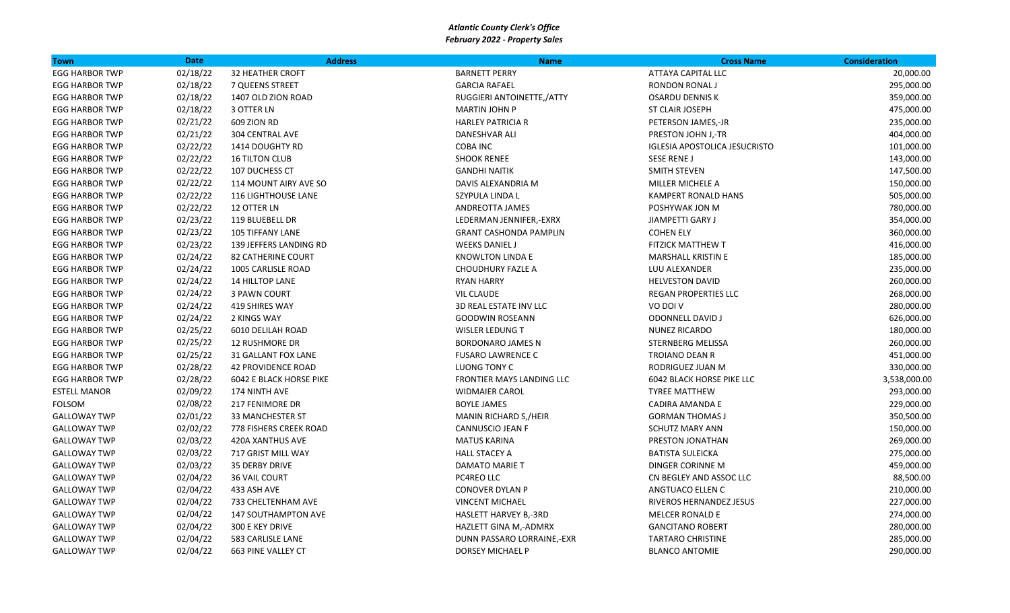| <b>Town</b>           | <b>Date</b> | <b>Address</b>                 | <b>Name</b>                      | <b>Cross Name</b>                    | <b>Consideration</b> |
|-----------------------|-------------|--------------------------------|----------------------------------|--------------------------------------|----------------------|
| <b>EGG HARBOR TWP</b> | 02/18/22    | <b>32 HEATHER CROFT</b>        | <b>BARNETT PERRY</b>             | <b>ATTAYA CAPITAL LLC</b>            | 20,000.00            |
| <b>EGG HARBOR TWP</b> | 02/18/22    | 7 QUEENS STREET                | <b>GARCIA RAFAEL</b>             | RONDON RONAL J                       | 295,000.00           |
| <b>EGG HARBOR TWP</b> | 02/18/22    | 1407 OLD ZION ROAD             | RUGGIERI ANTOINETTE,/ATTY        | <b>OSARDU DENNIS K</b>               | 359,000.00           |
| <b>EGG HARBOR TWP</b> | 02/18/22    | 3 OTTER LN                     | <b>MARTIN JOHN P</b>             | <b>ST CLAIR JOSEPH</b>               | 475,000.00           |
| <b>EGG HARBOR TWP</b> | 02/21/22    | 609 ZION RD                    | <b>HARLEY PATRICIA R</b>         | PETERSON JAMES,-JR                   | 235,000.00           |
| <b>EGG HARBOR TWP</b> | 02/21/22    | <b>304 CENTRAL AVE</b>         | DANESHVAR ALI                    | PRESTON JOHN J,-TR                   | 404,000.00           |
| <b>EGG HARBOR TWP</b> | 02/22/22    | 1414 DOUGHTY RD                | <b>COBA INC</b>                  | <b>IGLESIA APOSTOLICA JESUCRISTO</b> | 101,000.00           |
| <b>EGG HARBOR TWP</b> | 02/22/22    | <b>16 TILTON CLUB</b>          | <b>SHOOK RENEE</b>               | SESE RENE J                          | 143,000.00           |
| <b>EGG HARBOR TWP</b> | 02/22/22    | 107 DUCHESS CT                 | <b>GANDHI NAITIK</b>             | <b>SMITH STEVEN</b>                  | 147,500.00           |
| <b>EGG HARBOR TWP</b> | 02/22/22    | 114 MOUNT AIRY AVE SO          | DAVIS ALEXANDRIA M               | MILLER MICHELE A                     | 150,000.00           |
| <b>EGG HARBOR TWP</b> | 02/22/22    | 116 LIGHTHOUSE LANE            | SZYPULA LINDA L                  | <b>KAMPERT RONALD HANS</b>           | 505,000.00           |
| <b>EGG HARBOR TWP</b> | 02/22/22    | 12 OTTER LN                    | ANDREOTTA JAMES                  | POSHYWAK JON M                       | 780,000.00           |
| <b>EGG HARBOR TWP</b> | 02/23/22    | 119 BLUEBELL DR                | LEDERMAN JENNIFER,-EXRX          | JIAMPETTI GARY J                     | 354,000.00           |
| <b>EGG HARBOR TWP</b> | 02/23/22    | <b>105 TIFFANY LANE</b>        | <b>GRANT CASHONDA PAMPLIN</b>    | <b>COHEN ELY</b>                     | 360,000.00           |
| <b>EGG HARBOR TWP</b> | 02/23/22    | 139 JEFFERS LANDING RD         | <b>WEEKS DANIEL J</b>            | <b>FITZICK MATTHEW T</b>             | 416,000.00           |
| <b>EGG HARBOR TWP</b> | 02/24/22    | <b>82 CATHERINE COURT</b>      | <b>KNOWLTON LINDA E</b>          | <b>MARSHALL KRISTIN E</b>            | 185,000.00           |
| <b>EGG HARBOR TWP</b> | 02/24/22    | 1005 CARLISLE ROAD             | <b>CHOUDHURY FAZLE A</b>         | LUU ALEXANDER                        | 235,000.00           |
| <b>EGG HARBOR TWP</b> | 02/24/22    | <b>14 HILLTOP LANE</b>         | <b>RYAN HARRY</b>                | <b>HELVESTON DAVID</b>               | 260,000.00           |
| <b>EGG HARBOR TWP</b> | 02/24/22    | 3 PAWN COURT                   | <b>VIL CLAUDE</b>                | <b>REGAN PROPERTIES LLC</b>          | 268,000.00           |
| <b>EGG HARBOR TWP</b> | 02/24/22    | 419 SHIRES WAY                 | 3D REAL ESTATE INV LLC           | VO DOI V                             | 280,000.00           |
| <b>EGG HARBOR TWP</b> | 02/24/22    | 2 KINGS WAY                    | <b>GOODWIN ROSEANN</b>           | <b>ODONNELL DAVID J</b>              | 626,000.00           |
| <b>EGG HARBOR TWP</b> | 02/25/22    | 6010 DELILAH ROAD              | <b>WISLER LEDUNG T</b>           | <b>NUNEZ RICARDO</b>                 | 180,000.00           |
| <b>EGG HARBOR TWP</b> | 02/25/22    | <b>12 RUSHMORE DR</b>          | BORDONARO JAMES N                | STERNBERG MELISSA                    | 260,000.00           |
| <b>EGG HARBOR TWP</b> | 02/25/22    | <b>31 GALLANT FOX LANE</b>     | <b>FUSARO LAWRENCE C</b>         | <b>TROIANO DEAN R</b>                | 451,000.00           |
| <b>EGG HARBOR TWP</b> | 02/28/22    | <b>42 PROVIDENCE ROAD</b>      | LUONG TONY C                     | RODRIGUEZ JUAN M                     | 330,000.00           |
| <b>EGG HARBOR TWP</b> | 02/28/22    | <b>6042 E BLACK HORSE PIKE</b> | <b>FRONTIER MAYS LANDING LLC</b> | <b>6042 BLACK HORSE PIKE LLC</b>     | 3,538,000.00         |
| <b>ESTELL MANOR</b>   | 02/09/22    | 174 NINTH AVE                  | <b>WIDMAIER CAROL</b>            | <b>TYREE MATTHEW</b>                 | 293,000.00           |
| <b>FOLSOM</b>         | 02/08/22    | 217 FENIMORE DR                | <b>BOYLE JAMES</b>               | <b>CADIRA AMANDA E</b>               | 229,000.00           |
| <b>GALLOWAY TWP</b>   | 02/01/22    | <b>33 MANCHESTER ST</b>        | MANIN RICHARD S,/HEIR            | <b>GORMAN THOMAS J</b>               | 350,500.00           |
| <b>GALLOWAY TWP</b>   | 02/02/22    | <b>778 FISHERS CREEK ROAD</b>  | <b>CANNUSCIO JEAN F</b>          | <b>SCHUTZ MARY ANN</b>               | 150,000.00           |
| <b>GALLOWAY TWP</b>   | 02/03/22    | 420A XANTHUS AVE               | <b>MATUS KARINA</b>              | PRESTON JONATHAN                     | 269,000.00           |
| <b>GALLOWAY TWP</b>   | 02/03/22    | 717 GRIST MILL WAY             | <b>HALL STACEY A</b>             | <b>BATISTA SULEICKA</b>              | 275,000.00           |
| <b>GALLOWAY TWP</b>   | 02/03/22    | <b>35 DERBY DRIVE</b>          | <b>DAMATO MARIE T</b>            | DINGER CORINNE M                     | 459,000.00           |
| <b>GALLOWAY TWP</b>   | 02/04/22    | <b>36 VAIL COURT</b>           | PC4REO LLC                       | CN BEGLEY AND ASSOC LLC              | 88,500.00            |
| <b>GALLOWAY TWP</b>   | 02/04/22    | 433 ASH AVE                    | <b>CONOVER DYLAN P</b>           | ANGTUACO ELLEN C                     | 210,000.00           |
| <b>GALLOWAY TWP</b>   | 02/04/22    | 733 CHELTENHAM AVE             | <b>VINCENT MICHAEL</b>           | RIVEROS HERNANDEZ JESUS              | 227,000.00           |
| <b>GALLOWAY TWP</b>   | 02/04/22    | <b>147 SOUTHAMPTON AVE</b>     | <b>HASLETT HARVEY B,-3RD</b>     | <b>MELCER RONALD E</b>               | 274,000.00           |
| <b>GALLOWAY TWP</b>   | 02/04/22    | 300 E KEY DRIVE                | HAZLETT GINA M,-ADMRX            | <b>GANCITANO ROBERT</b>              | 280,000.00           |
| <b>GALLOWAY TWP</b>   | 02/04/22    | 583 CARLISLE LANE              | DUNN PASSARO LORRAINE,-EXR       | <b>TARTARO CHRISTINE</b>             | 285,000.00           |
| <b>GALLOWAY TWP</b>   | 02/04/22    | 663 PINE VALLEY CT             | <b>DORSEY MICHAEL P</b>          | <b>BLANCO ANTOMIE</b>                | 290,000.00           |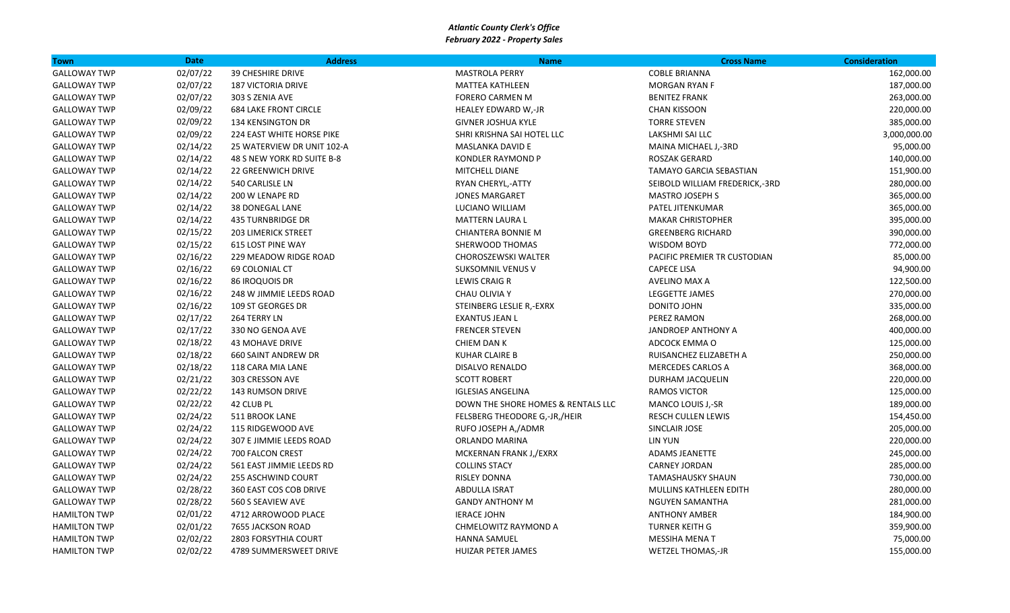| <b>Town</b>         | <b>Date</b> | <b>Address</b>               | <b>Name</b>                        | <b>Cross Name</b>              | <b>Consideration</b> |
|---------------------|-------------|------------------------------|------------------------------------|--------------------------------|----------------------|
| <b>GALLOWAY TWP</b> | 02/07/22    | <b>39 CHESHIRE DRIVE</b>     | <b>MASTROLA PERRY</b>              | <b>COBLE BRIANNA</b>           | 162,000.00           |
| <b>GALLOWAY TWP</b> | 02/07/22    | <b>187 VICTORIA DRIVE</b>    | <b>MATTEA KATHLEEN</b>             | <b>MORGAN RYAN F</b>           | 187,000.00           |
| <b>GALLOWAY TWP</b> | 02/07/22    | 303 S ZENIA AVE              | <b>FORERO CARMEN M</b>             | <b>BENITEZ FRANK</b>           | 263,000.00           |
| <b>GALLOWAY TWP</b> | 02/09/22    | <b>684 LAKE FRONT CIRCLE</b> | HEALEY EDWARD W,-JR                | <b>CHAN KISSOON</b>            | 220,000.00           |
| <b>GALLOWAY TWP</b> | 02/09/22    | 134 KENSINGTON DR            | <b>GIVNER JOSHUA KYLE</b>          | <b>TORRE STEVEN</b>            | 385,000.00           |
| <b>GALLOWAY TWP</b> | 02/09/22    | 224 EAST WHITE HORSE PIKE    | SHRI KRISHNA SAI HOTEL LLC         | LAKSHMI SAI LLC                | 3,000,000.00         |
| <b>GALLOWAY TWP</b> | 02/14/22    | 25 WATERVIEW DR UNIT 102-A   | MASLANKA DAVID E                   | MAINA MICHAEL J,-3RD           | 95,000.00            |
| <b>GALLOWAY TWP</b> | 02/14/22    | 48 S NEW YORK RD SUITE B-8   | <b>KONDLER RAYMOND P</b>           | <b>ROSZAK GERARD</b>           | 140,000.00           |
| <b>GALLOWAY TWP</b> | 02/14/22    | <b>22 GREENWICH DRIVE</b>    | MITCHELL DIANE                     | <b>TAMAYO GARCIA SEBASTIAN</b> | 151,900.00           |
| <b>GALLOWAY TWP</b> | 02/14/22    | 540 CARLISLE LN              | RYAN CHERYL,-ATTY                  | SEIBOLD WILLIAM FREDERICK,-3RD | 280,000.00           |
| <b>GALLOWAY TWP</b> | 02/14/22    | 200 W LENAPE RD              | JONES MARGARET                     | <b>MASTRO JOSEPH S</b>         | 365,000.00           |
| <b>GALLOWAY TWP</b> | 02/14/22    | 38 DONEGAL LANE              | LUCIANO WILLIAM                    | PATEL JITENKUMAR               | 365,000.00           |
| <b>GALLOWAY TWP</b> | 02/14/22    | <b>435 TURNBRIDGE DR</b>     | MATTERN LAURA L                    | <b>MAKAR CHRISTOPHER</b>       | 395,000.00           |
| <b>GALLOWAY TWP</b> | 02/15/22    | <b>203 LIMERICK STREET</b>   | <b>CHIANTERA BONNIE M</b>          | <b>GREENBERG RICHARD</b>       | 390,000.00           |
| <b>GALLOWAY TWP</b> | 02/15/22    | <b>615 LOST PINE WAY</b>     | SHERWOOD THOMAS                    | <b>WISDOM BOYD</b>             | 772,000.00           |
| <b>GALLOWAY TWP</b> | 02/16/22    | 229 MEADOW RIDGE ROAD        | CHOROSZEWSKI WALTER                | PACIFIC PREMIER TR CUSTODIAN   | 85,000.00            |
| <b>GALLOWAY TWP</b> | 02/16/22    | 69 COLONIAL CT               | <b>SUKSOMNIL VENUS V</b>           | <b>CAPECE LISA</b>             | 94,900.00            |
| <b>GALLOWAY TWP</b> | 02/16/22    | 86 IROQUOIS DR               | <b>LEWIS CRAIG R</b>               | AVELINO MAX A                  | 122,500.00           |
| <b>GALLOWAY TWP</b> | 02/16/22    | 248 W JIMMIE LEEDS ROAD      | CHAU OLIVIA Y                      | LEGGETTE JAMES                 | 270,000.00           |
| <b>GALLOWAY TWP</b> | 02/16/22    | 109 ST GEORGES DR            | STEINBERG LESLIE R,-EXRX           | DONITO JOHN                    | 335,000.00           |
| <b>GALLOWAY TWP</b> | 02/17/22    | 264 TERRY LN                 | <b>EXANTUS JEAN L</b>              | PEREZ RAMON                    | 268,000.00           |
| <b>GALLOWAY TWP</b> | 02/17/22    | 330 NO GENOA AVE             | <b>FRENCER STEVEN</b>              | <b>JANDROEP ANTHONY A</b>      | 400,000.00           |
| <b>GALLOWAY TWP</b> | 02/18/22    | <b>43 MOHAVE DRIVE</b>       | CHIEM DAN K                        | ADCOCK EMMA O                  | 125,000.00           |
| <b>GALLOWAY TWP</b> | 02/18/22    | <b>660 SAINT ANDREW DR</b>   | <b>KUHAR CLAIRE B</b>              | RUISANCHEZ ELIZABETH A         | 250,000.00           |
| <b>GALLOWAY TWP</b> | 02/18/22    | 118 CARA MIA LANE            | <b>DISALVO RENALDO</b>             | <b>MERCEDES CARLOS A</b>       | 368,000.00           |
| <b>GALLOWAY TWP</b> | 02/21/22    | 303 CRESSON AVE              | <b>SCOTT ROBERT</b>                | DURHAM JACQUELIN               | 220,000.00           |
| <b>GALLOWAY TWP</b> | 02/22/22    | <b>143 RUMSON DRIVE</b>      | <b>IGLESIAS ANGELINA</b>           | <b>RAMOS VICTOR</b>            | 125,000.00           |
| <b>GALLOWAY TWP</b> | 02/22/22    | 42 CLUB PL                   | DOWN THE SHORE HOMES & RENTALS LLC | MANCO LOUIS J,-SR              | 189,000.00           |
| <b>GALLOWAY TWP</b> | 02/24/22    | 511 BROOK LANE               | FELSBERG THEODORE G,-JR,/HEIR      | RESCH CULLEN LEWIS             | 154,450.00           |
| <b>GALLOWAY TWP</b> | 02/24/22    | 115 RIDGEWOOD AVE            | RUFO JOSEPH A,/ADMR                | SINCLAIR JOSE                  | 205,000.00           |
| <b>GALLOWAY TWP</b> | 02/24/22    | 307 E JIMMIE LEEDS ROAD      | ORLANDO MARINA                     | LIN YUN                        | 220,000.00           |
| <b>GALLOWAY TWP</b> | 02/24/22    | 700 FALCON CREST             | MCKERNAN FRANK J,/EXRX             | ADAMS JEANETTE                 | 245,000.00           |
| <b>GALLOWAY TWP</b> | 02/24/22    | 561 EAST JIMMIE LEEDS RD     | <b>COLLINS STACY</b>               | <b>CARNEY JORDAN</b>           | 285,000.00           |
| <b>GALLOWAY TWP</b> | 02/24/22    | <b>255 ASCHWIND COURT</b>    | <b>RISLEY DONNA</b>                | <b>TAMASHAUSKY SHAUN</b>       | 730,000.00           |
| <b>GALLOWAY TWP</b> | 02/28/22    | 360 EAST COS COB DRIVE       | <b>ABDULLA ISRAT</b>               | <b>MULLINS KATHLEEN EDITH</b>  | 280,000.00           |
| <b>GALLOWAY TWP</b> | 02/28/22    | 560 S SEAVIEW AVE            | <b>GANDY ANTHONY M</b>             | NGUYEN SAMANTHA                | 281,000.00           |
| <b>HAMILTON TWP</b> | 02/01/22    | 4712 ARROWOOD PLACE          | <b>IERACE JOHN</b>                 | <b>ANTHONY AMBER</b>           | 184,900.00           |
| <b>HAMILTON TWP</b> | 02/01/22    | 7655 JACKSON ROAD            | CHMELOWITZ RAYMOND A               | <b>TURNER KEITH G</b>          | 359,900.00           |
| <b>HAMILTON TWP</b> | 02/02/22    | 2803 FORSYTHIA COURT         | <b>HANNA SAMUEL</b>                | MESSIHA MENA T                 | 75,000.00            |
| <b>HAMILTON TWP</b> | 02/02/22    | 4789 SUMMERSWEET DRIVE       | <b>HUIZAR PETER JAMES</b>          | <b>WETZEL THOMAS,-JR</b>       | 155,000.00           |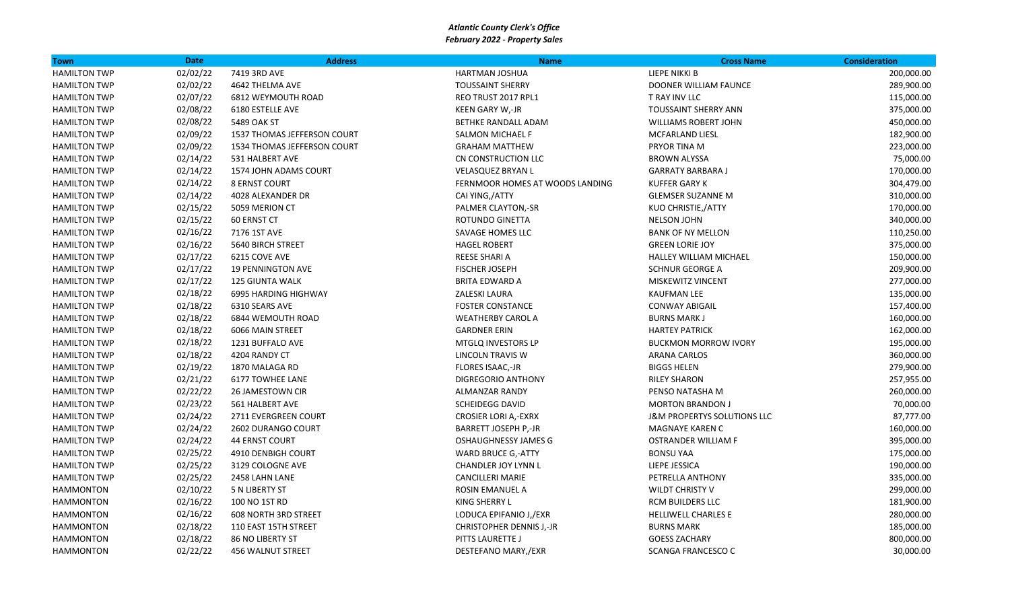| <b>Town</b>         | <b>Date</b> | <b>Address</b>              | <b>Name</b>                     | <b>Cross Name</b>                      | <b>Consideration</b> |
|---------------------|-------------|-----------------------------|---------------------------------|----------------------------------------|----------------------|
| <b>HAMILTON TWP</b> | 02/02/22    | 7419 3RD AVE                | HARTMAN JOSHUA                  | LIEPE NIKKI B                          | 200,000.00           |
| <b>HAMILTON TWP</b> | 02/02/22    | 4642 THELMA AVE             | <b>TOUSSAINT SHERRY</b>         | DOONER WILLIAM FAUNCE                  | 289,900.00           |
| <b>HAMILTON TWP</b> | 02/07/22    | 6812 WEYMOUTH ROAD          | REO TRUST 2017 RPL1             | T RAY INV LLC                          | 115,000.00           |
| <b>HAMILTON TWP</b> | 02/08/22    | 6180 ESTELLE AVE            | KEEN GARY W,-JR                 | TOUSSAINT SHERRY ANN                   | 375,000.00           |
| <b>HAMILTON TWP</b> | 02/08/22    | 5489 OAK ST                 | BETHKE RANDALL ADAM             | <b>WILLIAMS ROBERT JOHN</b>            | 450,000.00           |
| <b>HAMILTON TWP</b> | 02/09/22    | 1537 THOMAS JEFFERSON COURT | <b>SALMON MICHAEL F</b>         | MCFARLAND LIESL                        | 182,900.00           |
| <b>HAMILTON TWP</b> | 02/09/22    | 1534 THOMAS JEFFERSON COURT | <b>GRAHAM MATTHEW</b>           | PRYOR TINA M                           | 223,000.00           |
| <b>HAMILTON TWP</b> | 02/14/22    | 531 HALBERT AVE             | CN CONSTRUCTION LLC             | <b>BROWN ALYSSA</b>                    | 75,000.00            |
| <b>HAMILTON TWP</b> | 02/14/22    | 1574 JOHN ADAMS COURT       | <b>VELASQUEZ BRYAN L</b>        | <b>GARRATY BARBARA J</b>               | 170,000.00           |
| <b>HAMILTON TWP</b> | 02/14/22    | <b>8 ERNST COURT</b>        | FERNMOOR HOMES AT WOODS LANDING | <b>KUFFER GARY K</b>                   | 304,479.00           |
| <b>HAMILTON TWP</b> | 02/14/22    | 4028 ALEXANDER DR           | CAI YING,/ATTY                  | <b>GLEMSER SUZANNE M</b>               | 310,000.00           |
| <b>HAMILTON TWP</b> | 02/15/22    | 5059 MERION CT              | PALMER CLAYTON,-SR              | <b>KUO CHRISTIE,/ATTY</b>              | 170,000.00           |
| <b>HAMILTON TWP</b> | 02/15/22    | 60 ERNST CT                 | ROTUNDO GINETTA                 | <b>NELSON JOHN</b>                     | 340,000.00           |
| <b>HAMILTON TWP</b> | 02/16/22    | 7176 1ST AVE                | SAVAGE HOMES LLC                | <b>BANK OF NY MELLON</b>               | 110,250.00           |
| <b>HAMILTON TWP</b> | 02/16/22    | 5640 BIRCH STREET           | <b>HAGEL ROBERT</b>             | <b>GREEN LORIE JOY</b>                 | 375,000.00           |
| <b>HAMILTON TWP</b> | 02/17/22    | 6215 COVE AVE               | REESE SHARI A                   | HALLEY WILLIAM MICHAEL                 | 150,000.00           |
| <b>HAMILTON TWP</b> | 02/17/22    | <b>19 PENNINGTON AVE</b>    | <b>FISCHER JOSEPH</b>           | <b>SCHNUR GEORGE A</b>                 | 209,900.00           |
| <b>HAMILTON TWP</b> | 02/17/22    | <b>125 GIUNTA WALK</b>      | <b>BRITA EDWARD A</b>           | MISKEWITZ VINCENT                      | 277,000.00           |
| <b>HAMILTON TWP</b> | 02/18/22    | <b>6995 HARDING HIGHWAY</b> | ZALESKI LAURA                   | <b>KAUFMAN LEE</b>                     | 135,000.00           |
| <b>HAMILTON TWP</b> | 02/18/22    | 6310 SEARS AVE              | <b>FOSTER CONSTANCE</b>         | <b>CONWAY ABIGAIL</b>                  | 157,400.00           |
| <b>HAMILTON TWP</b> | 02/18/22    | <b>6844 WEMOUTH ROAD</b>    | <b>WEATHERBY CAROL A</b>        | <b>BURNS MARK J</b>                    | 160,000.00           |
| <b>HAMILTON TWP</b> | 02/18/22    | 6066 MAIN STREET            | <b>GARDNER ERIN</b>             | <b>HARTEY PATRICK</b>                  | 162,000.00           |
| <b>HAMILTON TWP</b> | 02/18/22    | 1231 BUFFALO AVE            | MTGLQ INVESTORS LP              | <b>BUCKMON MORROW IVORY</b>            | 195,000.00           |
| <b>HAMILTON TWP</b> | 02/18/22    | 4204 RANDY CT               | LINCOLN TRAVIS W                | <b>ARANA CARLOS</b>                    | 360,000.00           |
| <b>HAMILTON TWP</b> | 02/19/22    | 1870 MALAGA RD              | <b>FLORES ISAAC,-JR</b>         | <b>BIGGS HELEN</b>                     | 279,900.00           |
| <b>HAMILTON TWP</b> | 02/21/22    | <b>6177 TOWHEE LANE</b>     | <b>DIGREGORIO ANTHONY</b>       | <b>RILEY SHARON</b>                    | 257,955.00           |
| <b>HAMILTON TWP</b> | 02/22/22    | 26 JAMESTOWN CIR            | ALMANZAR RANDY                  | PENSO NATASHA M                        | 260,000.00           |
| <b>HAMILTON TWP</b> | 02/23/22    | 561 HALBERT AVE             | <b>SCHEIDEGG DAVID</b>          | <b>MORTON BRANDON J</b>                | 70,000.00            |
| <b>HAMILTON TWP</b> | 02/24/22    | 2711 EVERGREEN COURT        | <b>CROSIER LORI A,-EXRX</b>     | <b>J&amp;M PROPERTYS SOLUTIONS LLC</b> | 87,777.00            |
| <b>HAMILTON TWP</b> | 02/24/22    | 2602 DURANGO COURT          | <b>BARRETT JOSEPH P,-JR</b>     | <b>MAGNAYE KAREN C</b>                 | 160,000.00           |
| <b>HAMILTON TWP</b> | 02/24/22    | <b>44 ERNST COURT</b>       | <b>OSHAUGHNESSY JAMES G</b>     | OSTRANDER WILLIAM F                    | 395,000.00           |
| <b>HAMILTON TWP</b> | 02/25/22    | 4910 DENBIGH COURT          | WARD BRUCE G,-ATTY              | <b>BONSU YAA</b>                       | 175,000.00           |
| <b>HAMILTON TWP</b> | 02/25/22    | 3129 COLOGNE AVE            | <b>CHANDLER JOY LYNN L</b>      | LIEPE JESSICA                          | 190,000.00           |
| <b>HAMILTON TWP</b> | 02/25/22    | 2458 LAHN LANE              | <b>CANCILLERI MARIE</b>         | PETRELLA ANTHONY                       | 335,000.00           |
| <b>HAMMONTON</b>    | 02/10/22    | 5 N LIBERTY ST              | ROSIN EMANUEL A                 | <b>WILDT CHRISTY V</b>                 | 299,000.00           |
| <b>HAMMONTON</b>    | 02/16/22    | 100 NO 1ST RD               | <b>KING SHERRY L</b>            | <b>RCM BUILDERS LLC</b>                | 181,900.00           |
| <b>HAMMONTON</b>    | 02/16/22    | <b>608 NORTH 3RD STREET</b> | LODUCA EPIFANIO J,/EXR          | HELLIWELL CHARLES E                    | 280,000.00           |
| <b>HAMMONTON</b>    | 02/18/22    | 110 EAST 15TH STREET        | <b>CHRISTOPHER DENNIS J,-JR</b> | <b>BURNS MARK</b>                      | 185,000.00           |
| <b>HAMMONTON</b>    | 02/18/22    | <b>86 NO LIBERTY ST</b>     | PITTS LAURETTE J                | <b>GOESS ZACHARY</b>                   | 800,000.00           |
| <b>HAMMONTON</b>    | 02/22/22    | <b>456 WALNUT STREET</b>    | DESTEFANO MARY,/EXR             | <b>SCANGA FRANCESCO C</b>              | 30,000.00            |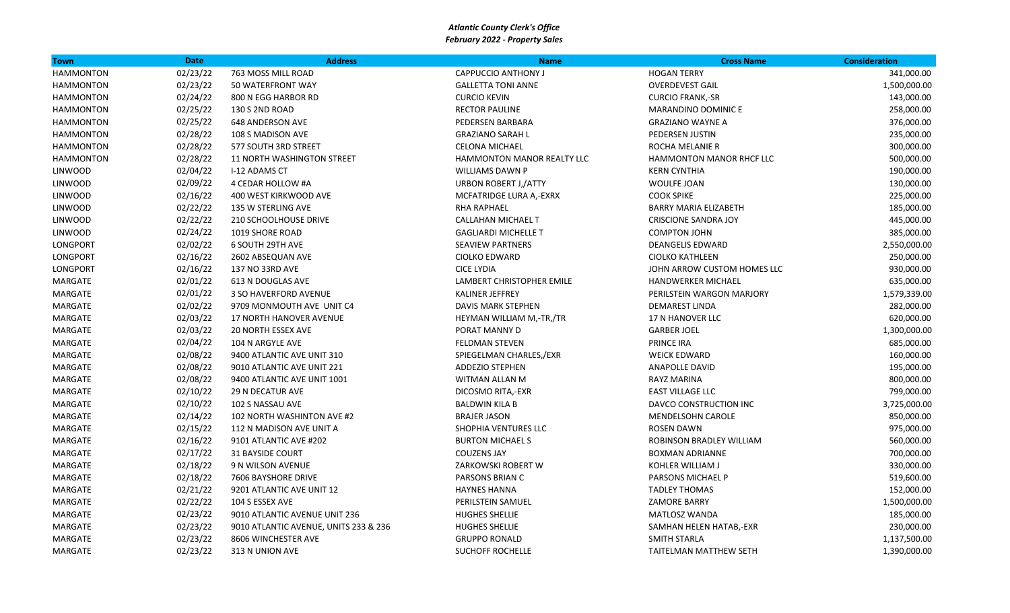| Town             | <b>Date</b> | <b>Address</b>                        | <b>Name</b>                 | <b>Cross Name</b>             | <b>Consideration</b> |
|------------------|-------------|---------------------------------------|-----------------------------|-------------------------------|----------------------|
| <b>HAMMONTON</b> | 02/23/22    | 763 MOSS MILL ROAD                    | CAPPUCCIO ANTHONY J         | <b>HOGAN TERRY</b>            | 341,000.00           |
| <b>HAMMONTON</b> | 02/23/22    | 50 WATERFRONT WAY                     | <b>GALLETTA TONI ANNE</b>   | <b>OVERDEVEST GAIL</b>        | 1,500,000.00         |
| <b>HAMMONTON</b> | 02/24/22    | 800 N EGG HARBOR RD                   | <b>CURCIO KEVIN</b>         | <b>CURCIO FRANK,-SR</b>       | 143,000.00           |
| <b>HAMMONTON</b> | 02/25/22    | 130 S 2ND ROAD                        | <b>RECTOR PAULINE</b>       | MARANDINO DOMINIC E           | 258,000.00           |
| <b>HAMMONTON</b> | 02/25/22    | <b>648 ANDERSON AVE</b>               | PEDERSEN BARBARA            | <b>GRAZIANO WAYNE A</b>       | 376,000.00           |
| <b>HAMMONTON</b> | 02/28/22    | 108 S MADISON AVE                     | <b>GRAZIANO SARAH L</b>     | PEDERSEN JUSTIN               | 235,000.00           |
| <b>HAMMONTON</b> | 02/28/22    | 577 SOUTH 3RD STREET                  | <b>CELONA MICHAEL</b>       | ROCHA MELANIE R               | 300,000.00           |
| <b>HAMMONTON</b> | 02/28/22    | <b>11 NORTH WASHINGTON STREET</b>     | HAMMONTON MANOR REALTY LLC  | HAMMONTON MANOR RHCF LLC      | 500,000.00           |
| <b>LINWOOD</b>   | 02/04/22    | I-12 ADAMS CT                         | <b>WILLIAMS DAWN P</b>      | <b>KERN CYNTHIA</b>           | 190,000.00           |
| <b>LINWOOD</b>   | 02/09/22    | 4 CEDAR HOLLOW #A                     | <b>URBON ROBERT J,/ATTY</b> | WOULFE JOAN                   | 130,000.00           |
| <b>LINWOOD</b>   | 02/16/22    | 400 WEST KIRKWOOD AVE                 | MCFATRIDGE LURA A,-EXRX     | <b>COOK SPIKE</b>             | 225,000.00           |
| LINWOOD          | 02/22/22    | 135 W STERLING AVE                    | <b>RHA RAPHAEL</b>          | <b>BARRY MARIA ELIZABETH</b>  | 185,000.00           |
| <b>LINWOOD</b>   | 02/22/22    | 210 SCHOOLHOUSE DRIVE                 | CALLAHAN MICHAEL T          | <b>CRISCIONE SANDRA JOY</b>   | 445,000.00           |
| <b>LINWOOD</b>   | 02/24/22    | 1019 SHORE ROAD                       | <b>GAGLIARDI MICHELLE T</b> | <b>COMPTON JOHN</b>           | 385,000.00           |
| LONGPORT         | 02/02/22    | 6 SOUTH 29TH AVE                      | <b>SEAVIEW PARTNERS</b>     | <b>DEANGELIS EDWARD</b>       | 2,550,000.00         |
| LONGPORT         | 02/16/22    | 2602 ABSEQUAN AVE                     | <b>CIOLKO EDWARD</b>        | <b>CIOLKO KATHLEEN</b>        | 250,000.00           |
| LONGPORT         | 02/16/22    | 137 NO 33RD AVE                       | <b>CICE LYDIA</b>           | JOHN ARROW CUSTOM HOMES LLC   | 930,000.00           |
| MARGATE          | 02/01/22    | 613 N DOUGLAS AVE                     | LAMBERT CHRISTOPHER EMILE   | HANDWERKER MICHAEL            | 635,000.00           |
| MARGATE          | 02/01/22    | 3 SO HAVERFORD AVENUE                 | <b>KALINER JEFFREY</b>      | PERILSTEIN WARGON MARJORY     | 1,579,339.00         |
| MARGATE          | 02/02/22    | 9709 MONMOUTH AVE UNIT C4             | DAVIS MARK STEPHEN          | <b>DEMAREST LINDA</b>         | 282,000.00           |
| MARGATE          | 02/03/22    | <b>17 NORTH HANOVER AVENUE</b>        | HEYMAN WILLIAM M,-TR,/TR    | <b>17 N HANOVER LLC</b>       | 620,000.00           |
| MARGATE          | 02/03/22    | <b>20 NORTH ESSEX AVE</b>             | PORAT MANNY D               | <b>GARBER JOEL</b>            | 1,300,000.00         |
| MARGATE          | 02/04/22    | 104 N ARGYLE AVE                      | <b>FELDMAN STEVEN</b>       | <b>PRINCE IRA</b>             | 685,000.00           |
| MARGATE          | 02/08/22    | 9400 ATLANTIC AVE UNIT 310            | SPIEGELMAN CHARLES,/EXR     | <b>WEICK EDWARD</b>           | 160,000.00           |
| MARGATE          | 02/08/22    | 9010 ATLANTIC AVE UNIT 221            | <b>ADDEZIO STEPHEN</b>      | <b>ANAPOLLE DAVID</b>         | 195,000.00           |
| MARGATE          | 02/08/22    | 9400 ATLANTIC AVE UNIT 1001           | WITMAN ALLAN M              | <b>RAYZ MARINA</b>            | 800,000.00           |
| MARGATE          | 02/10/22    | 29 N DECATUR AVE                      | DICOSMO RITA,-EXR           | <b>EAST VILLAGE LLC</b>       | 799,000.00           |
| MARGATE          | 02/10/22    | 102 S NASSAU AVE                      | <b>BALDWIN KILA B</b>       | DAVCO CONSTRUCTION INC        | 3,725,000.00         |
| MARGATE          | 02/14/22    | 102 NORTH WASHINTON AVE #2            | <b>BRAJER JASON</b>         | <b>MENDELSOHN CAROLE</b>      | 850,000.00           |
| MARGATE          | 02/15/22    | 112 N MADISON AVE UNIT A              | SHOPHIA VENTURES LLC        | <b>ROSEN DAWN</b>             | 975,000.00           |
| MARGATE          | 02/16/22    | 9101 ATLANTIC AVE #202                | <b>BURTON MICHAELS</b>      | ROBINSON BRADLEY WILLIAM      | 560,000.00           |
| MARGATE          | 02/17/22    | 31 BAYSIDE COURT                      | <b>COUZENS JAY</b>          | <b>BOXMAN ADRIANNE</b>        | 700,000.00           |
| MARGATE          | 02/18/22    | 9 N WILSON AVENUE                     | ZARKOWSKI ROBERT W          | KOHLER WILLIAM J              | 330,000.00           |
| MARGATE          | 02/18/22    | 7606 BAYSHORE DRIVE                   | PARSONS BRIAN C             | PARSONS MICHAEL P             | 519,600.00           |
| MARGATE          | 02/21/22    | 9201 ATLANTIC AVE UNIT 12             | <b>HAYNES HANNA</b>         | <b>TADLEY THOMAS</b>          | 152,000.00           |
| MARGATE          | 02/22/22    | 104 S ESSEX AVE                       | PERILSTEIN SAMUEL           | <b>ZAMORE BARRY</b>           | 1,500,000.00         |
| MARGATE          | 02/23/22    | 9010 ATLANTIC AVENUE UNIT 236         | <b>HUGHES SHELLIE</b>       | <b>MATLOSZ WANDA</b>          | 185,000.00           |
| MARGATE          | 02/23/22    | 9010 ATLANTIC AVENUE, UNITS 233 & 236 | <b>HUGHES SHELLIE</b>       | SAMHAN HELEN HATAB,-EXR       | 230,000.00           |
| MARGATE          | 02/23/22    | 8606 WINCHESTER AVE                   | <b>GRUPPO RONALD</b>        | <b>SMITH STARLA</b>           | 1,137,500.00         |
| MARGATE          | 02/23/22    | 313 N UNION AVE                       | <b>SUCHOFF ROCHELLE</b>     | <b>TAITELMAN MATTHEW SETH</b> | 1,390,000.00         |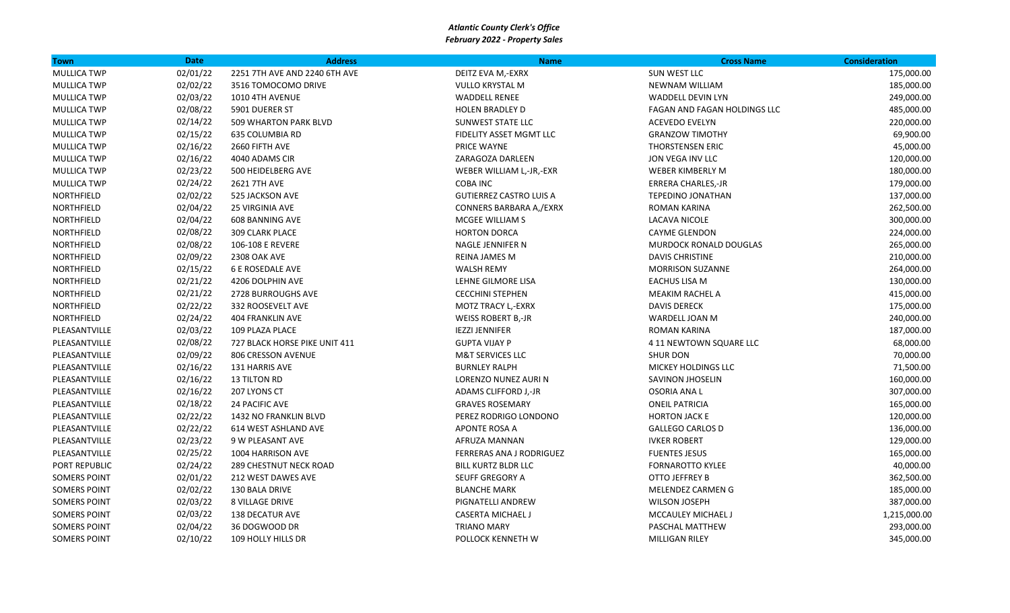| <b>Town</b>         | <b>Date</b> | <b>Address</b>                | <b>Name</b>                    | <b>Cross Name</b>            | <b>Consideration</b> |
|---------------------|-------------|-------------------------------|--------------------------------|------------------------------|----------------------|
| <b>MULLICA TWP</b>  | 02/01/22    | 2251 7TH AVE AND 2240 6TH AVE | DEITZ EVA M,-EXRX              | SUN WEST LLC                 | 175,000.00           |
| <b>MULLICA TWP</b>  | 02/02/22    | 3516 TOMOCOMO DRIVE           | VULLO KRYSTAL M                | <b>NEWNAM WILLIAM</b>        | 185,000.00           |
| <b>MULLICA TWP</b>  | 02/03/22    | 1010 4TH AVENUE               | <b>WADDELL RENEE</b>           | <b>WADDELL DEVIN LYN</b>     | 249,000.00           |
| <b>MULLICA TWP</b>  | 02/08/22    | 5901 DUERER ST                | <b>HOLEN BRADLEY D</b>         | FAGAN AND FAGAN HOLDINGS LLC | 485,000.00           |
| MULLICA TWP         | 02/14/22    | 509 WHARTON PARK BLVD         | <b>SUNWEST STATE LLC</b>       | <b>ACEVEDO EVELYN</b>        | 220,000.00           |
| <b>MULLICA TWP</b>  | 02/15/22    | 635 COLUMBIA RD               | FIDELITY ASSET MGMT LLC        | <b>GRANZOW TIMOTHY</b>       | 69,900.00            |
| <b>MULLICA TWP</b>  | 02/16/22    | 2660 FIFTH AVE                | <b>PRICE WAYNE</b>             | THORSTENSEN ERIC             | 45,000.00            |
| <b>MULLICA TWP</b>  | 02/16/22    | 4040 ADAMS CIR                | ZARAGOZA DARLEEN               | JON VEGA INV LLC             | 120,000.00           |
| <b>MULLICA TWP</b>  | 02/23/22    | 500 HEIDELBERG AVE            | WEBER WILLIAM L,-JR,-EXR       | WEBER KIMBERLY M             | 180,000.00           |
| <b>MULLICA TWP</b>  | 02/24/22    | 2621 7TH AVE                  | <b>COBA INC</b>                | ERRERA CHARLES,-JR           | 179,000.00           |
| NORTHFIELD          | 02/02/22    | 525 JACKSON AVE               | <b>GUTIERREZ CASTRO LUIS A</b> | <b>TEPEDINO JONATHAN</b>     | 137,000.00           |
| NORTHFIELD          | 02/04/22    | <b>25 VIRGINIA AVE</b>        | CONNERS BARBARA A,/EXRX        | <b>ROMAN KARINA</b>          | 262,500.00           |
| NORTHFIELD          | 02/04/22    | <b>608 BANNING AVE</b>        | MCGEE WILLIAM S                | LACAVA NICOLE                | 300,000.00           |
| NORTHFIELD          | 02/08/22    | 309 CLARK PLACE               | <b>HORTON DORCA</b>            | <b>CAYME GLENDON</b>         | 224,000.00           |
| NORTHFIELD          | 02/08/22    | 106-108 E REVERE              | NAGLE JENNIFER N               | MURDOCK RONALD DOUGLAS       | 265,000.00           |
| <b>NORTHFIELD</b>   | 02/09/22    | 2308 OAK AVE                  | <b>REINA JAMES M</b>           | <b>DAVIS CHRISTINE</b>       | 210,000.00           |
| NORTHFIELD          | 02/15/22    | <b>6 E ROSEDALE AVE</b>       | <b>WALSH REMY</b>              | <b>MORRISON SUZANNE</b>      | 264,000.00           |
| NORTHFIELD          | 02/21/22    | 4206 DOLPHIN AVE              | LEHNE GILMORE LISA             | <b>EACHUS LISA M</b>         | 130,000.00           |
| NORTHFIELD          | 02/21/22    | 2728 BURROUGHS AVE            | <b>CECCHINI STEPHEN</b>        | <b>MEAKIM RACHEL A</b>       | 415,000.00           |
| NORTHFIELD          | 02/22/22    | 332 ROOSEVELT AVE             | MOTZ TRACY L,-EXRX             | <b>DAVIS DERECK</b>          | 175,000.00           |
| NORTHFIELD          | 02/24/22    | <b>404 FRANKLIN AVE</b>       | <b>WEISS ROBERT B,-JR</b>      | WARDELL JOAN M               | 240,000.00           |
| PLEASANTVILLE       | 02/03/22    | 109 PLAZA PLACE               | <b>IEZZI JENNIFER</b>          | <b>ROMAN KARINA</b>          | 187,000.00           |
| PLEASANTVILLE       | 02/08/22    | 727 BLACK HORSE PIKE UNIT 411 | <b>GUPTA VIJAY P</b>           | 4 11 NEWTOWN SQUARE LLC      | 68,000.00            |
| PLEASANTVILLE       | 02/09/22    | 806 CRESSON AVENUE            | <b>M&amp;T SERVICES LLC</b>    | <b>SHUR DON</b>              | 70,000.00            |
| PLEASANTVILLE       | 02/16/22    | 131 HARRIS AVE                | <b>BURNLEY RALPH</b>           | <b>MICKEY HOLDINGS LLC</b>   | 71,500.00            |
| PLEASANTVILLE       | 02/16/22    | <b>13 TILTON RD</b>           | LORENZO NUNEZ AURI N           | SAVINON JHOSELIN             | 160,000.00           |
| PLEASANTVILLE       | 02/16/22    | 207 LYONS CT                  | ADAMS CLIFFORD J,-JR           | <b>OSORIA ANA L</b>          | 307,000.00           |
| PLEASANTVILLE       | 02/18/22    | 24 PACIFIC AVE                | <b>GRAVES ROSEMARY</b>         | <b>ONEIL PATRICIA</b>        | 165,000.00           |
| PLEASANTVILLE       | 02/22/22    | 1432 NO FRANKLIN BLVD         | PEREZ RODRIGO LONDONO          | <b>HORTON JACK E</b>         | 120,000.00           |
| PLEASANTVILLE       | 02/22/22    | 614 WEST ASHLAND AVE          | APONTE ROSA A                  | <b>GALLEGO CARLOS D</b>      | 136,000.00           |
| PLEASANTVILLE       | 02/23/22    | 9 W PLEASANT AVE              | AFRUZA MANNAN                  | <b>IVKER ROBERT</b>          | 129,000.00           |
| PLEASANTVILLE       | 02/25/22    | 1004 HARRISON AVE             | FERRERAS ANA J RODRIGUEZ       | <b>FUENTES JESUS</b>         | 165,000.00           |
| PORT REPUBLIC       | 02/24/22    | <b>289 CHESTNUT NECK ROAD</b> | <b>BILL KURTZ BLDR LLC</b>     | <b>FORNAROTTO KYLEE</b>      | 40,000.00            |
| <b>SOMERS POINT</b> | 02/01/22    | 212 WEST DAWES AVE            | SEUFF GREGORY A                | <b>OTTO JEFFREY B</b>        | 362,500.00           |
| <b>SOMERS POINT</b> | 02/02/22    | 130 BALA DRIVE                | <b>BLANCHE MARK</b>            | MELENDEZ CARMEN G            | 185,000.00           |
| <b>SOMERS POINT</b> | 02/03/22    | <b>8 VILLAGE DRIVE</b>        | PIGNATELLI ANDREW              | <b>WILSON JOSEPH</b>         | 387,000.00           |
| <b>SOMERS POINT</b> | 02/03/22    | 138 DECATUR AVE               | <b>CASERTA MICHAEL J</b>       | <b>MCCAULEY MICHAEL J</b>    | 1,215,000.00         |
| <b>SOMERS POINT</b> | 02/04/22    | 36 DOGWOOD DR                 | <b>TRIANO MARY</b>             | PASCHAL MATTHEW              | 293,000.00           |
| <b>SOMERS POINT</b> | 02/10/22    | 109 HOLLY HILLS DR            | POLLOCK KENNETH W              | MILLIGAN RILEY               | 345,000.00           |